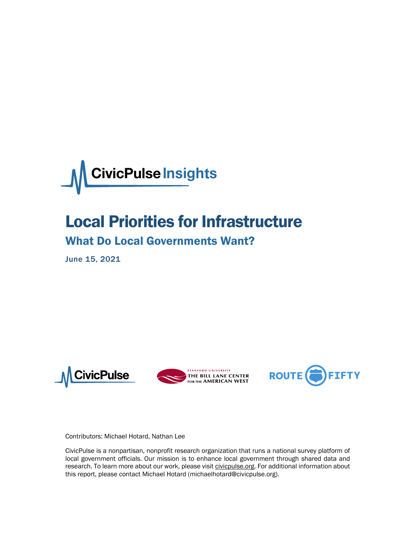

# Local Priorities for Infrastructure

## What Do Local Governments Want?

June 15, 2021







Contributors: Michael Hotard, Nathan Lee

CivicPulse is a nonpartisan, nonprofit research organization that runs a national survey platform of local government officials. Our mission is to enhance local government through shared data and research. To learn more about our work, please visi[t civicpulse.org.](https://www.civicpulse.org/) For additional information about this report, please contact Michael Hotard (michaelhotard@civicpulse.org).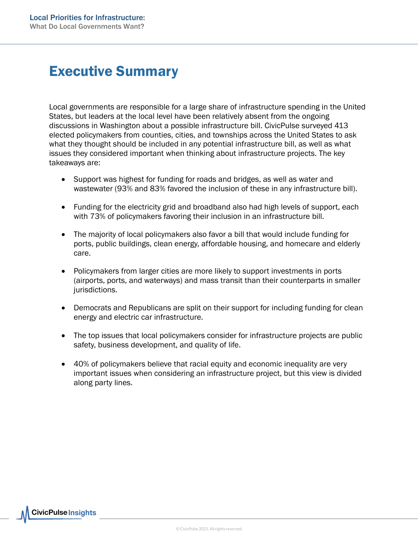## Executive Summary

Local governments are responsible for a large share of infrastructure spending in the United States, but leaders at the local level have been relatively absent from the ongoing discussions in Washington about a possible infrastructure bill. CivicPulse surveyed 413 elected policymakers from counties, cities, and townships across the United States to ask what they thought should be included in any potential infrastructure bill, as well as what issues they considered important when thinking about infrastructure projects. The key takeaways are:

- Support was highest for funding for roads and bridges, as well as water and wastewater (93% and 83% favored the inclusion of these in any infrastructure bill).
- Funding for the electricity grid and broadband also had high levels of support, each with 73% of policymakers favoring their inclusion in an infrastructure bill.
- The majority of local policymakers also favor a bill that would include funding for ports, public buildings, clean energy, affordable housing, and homecare and elderly care.
- Policymakers from larger cities are more likely to support investments in ports (airports, ports, and waterways) and mass transit than their counterparts in smaller jurisdictions.
- Democrats and Republicans are split on their support for including funding for clean energy and electric car infrastructure.
- The top issues that local policymakers consider for infrastructure projects are public safety, business development, and quality of life.
- 40% of policymakers believe that racial equity and economic inequality are very important issues when considering an infrastructure project, but this view is divided along party lines.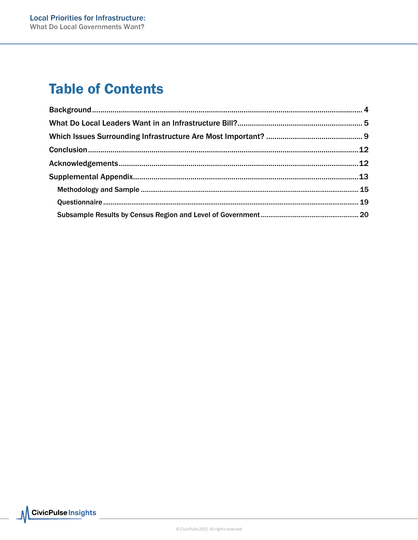# **Table of Contents**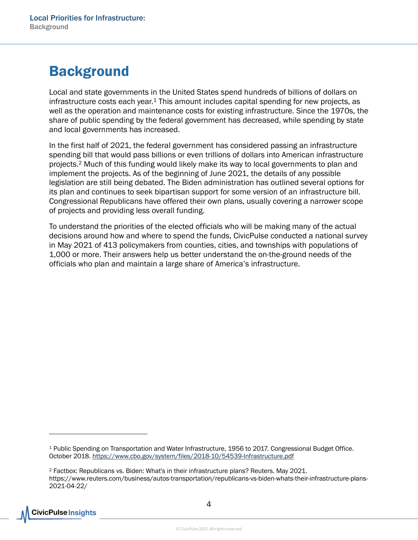# <span id="page-3-0"></span>**Background**

Local and state governments in the United States spend hundreds of billions of dollars on infrastructure costs each year.<sup>1</sup> This amount includes capital spending for new projects, as well as the operation and maintenance costs for existing infrastructure. Since the 1970s, the share of public spending by the federal government has decreased, while spending by state and local governments has increased.

In the first half of 2021, the federal government has considered passing an infrastructure spending bill that would pass billions or even trillions of dollars into American infrastructure projects.2 Much of this funding would likely make its way to local governments to plan and implement the projects. As of the beginning of June 2021, the details of any possible legislation are still being debated. The Biden administration has outlined several options for its plan and continues to seek bipartisan support for some version of an infrastructure bill. Congressional Republicans have offered their own plans, usually covering a narrower scope of projects and providing less overall funding.

To understand the priorities of the elected officials who will be making many of the actual decisions around how and where to spend the funds, CivicPulse conducted a national survey in May 2021 of 413 policymakers from counties, cities, and townships with populations of 1,000 or more. Their answers help us better understand the on-the-ground needs of the officials who plan and maintain a large share of America's infrastructure.

<sup>2</sup> Factbox: Republicans vs. Biden: What's in their infrastructure plans? Reuters. May 2021. https://www.reuters.com/business/autos-transportation/republicans-vs-biden-whats-their-infrastructure-plans-2021-04-22/



<sup>1</sup> Public Spending on Transportation and Water Infrastructure, 1956 to 2017. Congressional Budget Office. October 2018.<https://www.cbo.gov/system/files/2018-10/54539-Infrastructure.pdf>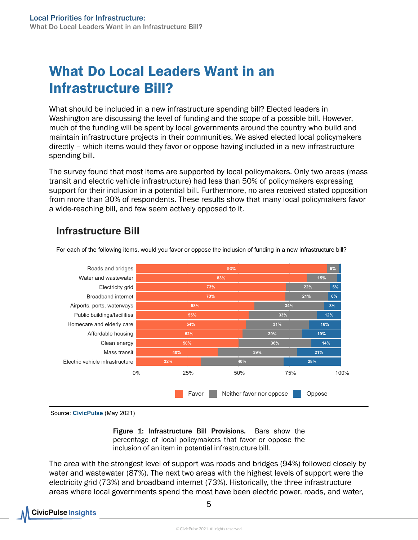# <span id="page-4-0"></span>What Do Local Leaders Want in an Infrastructure Bill?

What should be included in a new infrastructure spending bill? Elected leaders in Washington are discussing the level of funding and the scope of a possible bill. However, much of the funding will be spent by local governments around the country who build and maintain infrastructure projects in their communities. We asked elected local policymakers directly – which items would they favor or oppose having included in a new infrastructure spending bill.

The survey found that most items are supported by local policymakers. Only two areas (mass transit and electric vehicle infrastructure) had less than 50% of policymakers expressing support for their inclusion in a potential bill. Furthermore, no area received stated opposition from more than 30% of respondents. These results show that many local policymakers favor a wide-reaching bill, and few seem actively opposed to it.

### Infrastructure Bill



For each of the following items, would you favor or oppose the inclusion of funding in a new infrastructure bill?

Source: CivicPulse (May 2021)

Figure 1: Infrastructure Bill Provisions. Bars show the percentage of local policymakers that favor or oppose the inclusion of an item in potential infrastructure bill.

The area with the strongest level of support was roads and bridges (94%) followed closely by water and wastewater (87%). The next two areas with the highest levels of support were the electricity grid (73%) and broadband internet (73%). Historically, the three infrastructure areas where local governments spend the most have been electric power, roads, and water,

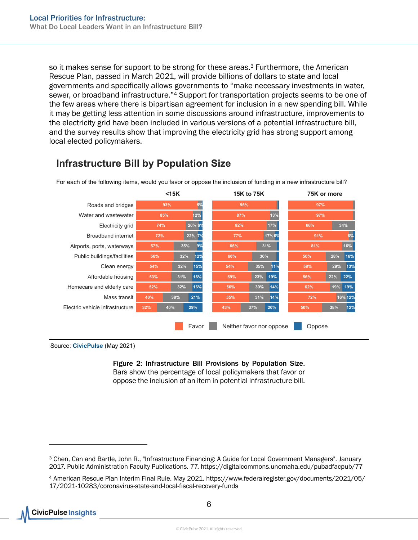so it makes sense for support to be strong for these areas.<sup>3</sup> Furthermore, the American Rescue Plan, passed in March 2021, will provide billions of dollars to state and local governments and specifically allows governments to "make necessary investments in water, sewer, or broadband infrastructure."<sup>4</sup> Support for transportation projects seems to be one of the few areas where there is bipartisan agreement for inclusion in a new spending bill. While it may be getting less attention in some discussions around infrastructure, improvements to the electricity grid have been included in various versions of a potential infrastructure bill, and the survey results show that improving the electricity grid has strong support among local elected policymakers.



### Infrastructure Bill by Population Size

For each of the following items, would you favor or oppose the inclusion of funding in a new infrastructure bill?

Source: CivicPulse (May 2021)

Figure 2: Infrastructure Bill Provisions by Population Size. Bars show the percentage of local policymakers that favor or oppose the inclusion of an item in potential infrastructure bill.

**CivicPulse Insights** 

<sup>3</sup> Chen, Can and Bartle, John R., "Infrastructure Financing: A Guide for Local Government Managers". January 2017. Public Administration Faculty Publications. 77. https://digitalcommons.unomaha.edu/pubadfacpub/77

<sup>4</sup> American Rescue Plan Interim Final Rule. May 2021. https://www.federalregister.gov/documents/2021/05/ 17/2021-10283/coronavirus-state-and-local-fiscal-recovery-funds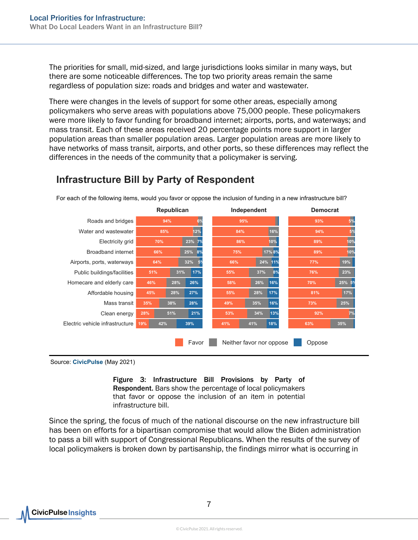The priorities for small, mid-sized, and large jurisdictions looks similar in many ways, but there are some noticeable differences. The top two priority areas remain the same regardless of population size: roads and bridges and water and wastewater.

There were changes in the levels of support for some other areas, especially among policymakers who serve areas with populations above 75,000 people. These policymakers were more likely to favor funding for broadband internet; airports, ports, and waterways; and mass transit. Each of these areas received 20 percentage points more support in larger population areas than smaller population areas. Larger population areas are more likely to have networks of mass transit, airports, and other ports, so these differences may reflect the differences in the needs of the community that a policymaker is serving.



### Infrastructure Bill by Party of Respondent

Source: CivicPulse (May 2021)

Figure 3: Infrastructure Bill Provisions by Party of Respondent. Bars show the percentage of local policymakers that favor or oppose the inclusion of an item in potential infrastructure bill.

Since the spring, the focus of much of the national discourse on the new infrastructure bill has been on efforts for a bipartisan compromise that would allow the Biden administration to pass a bill with support of Congressional Republicans. When the results of the survey of local policymakers is broken down by partisanship, the findings mirror what is occurring in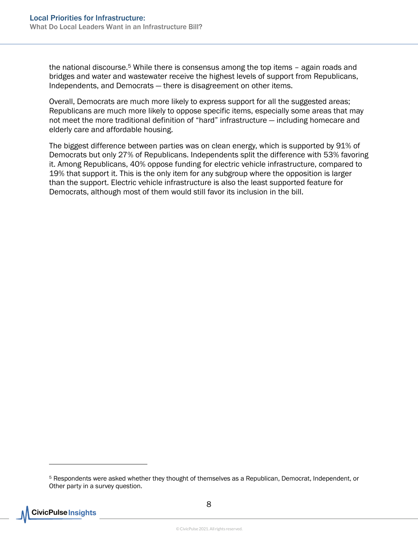the national discourse.<sup>5</sup> While there is consensus among the top items - again roads and bridges and water and wastewater receive the highest levels of support from Republicans, Independents, and Democrats — there is disagreement on other items.

Overall, Democrats are much more likely to express support for all the suggested areas; Republicans are much more likely to oppose specific items, especially some areas that may not meet the more traditional definition of "hard" infrastructure — including homecare and elderly care and affordable housing.

The biggest difference between parties was on clean energy, which is supported by 91% of Democrats but only 27% of Republicans. Independents split the difference with 53% favoring it. Among Republicans, 40% oppose funding for electric vehicle infrastructure, compared to 19% that support it. This is the only item for any subgroup where the opposition is larger than the support. Electric vehicle infrastructure is also the least supported feature for Democrats, although most of them would still favor its inclusion in the bill.

<sup>5</sup> Respondents were asked whether they thought of themselves as a Republican, Democrat, Independent, or Other party in a survey question.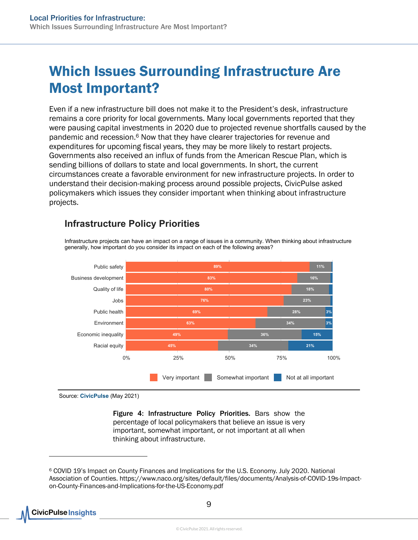## <span id="page-8-0"></span>Which Issues Surrounding Infrastructure Are Most Important?

Even if a new infrastructure bill does not make it to the President's desk, infrastructure remains a core priority for local governments. Many local governments reported that they were pausing capital investments in 2020 due to projected revenue shortfalls caused by the pandemic and recession.6 Now that they have clearer trajectories for revenue and expenditures for upcoming fiscal years, they may be more likely to restart projects. Governments also received an influx of funds from the American Rescue Plan, which is sending billions of dollars to state and local governments. In short, the current circumstances create a favorable environment for new infrastructure projects. In order to understand their decision-making process around possible projects, CivicPulse asked policymakers which issues they consider important when thinking about infrastructure projects.

Infrastructure projects can have an impact on a range of issues in a community. When thinking about infrastructure



#### Infrastructure Policy Priorities

generally, how important do you consider its impact on each of the following areas?

Source: CivicPulse (May 2021)

Figure 4: Infrastructure Policy Priorities. Bars show the percentage of local policymakers that believe an issue is very important, somewhat important, or not important at all when thinking about infrastructure.

<sup>6</sup> COVID 19's Impact on County Finances and Implications for the U.S. Economy. July 2020. National Association of Counties. https://www.naco.org/sites/default/files/documents/Analysis-of-COVID-19s-Impacton-County-Finances-and-Implications-for-the-US-Economy.pdf

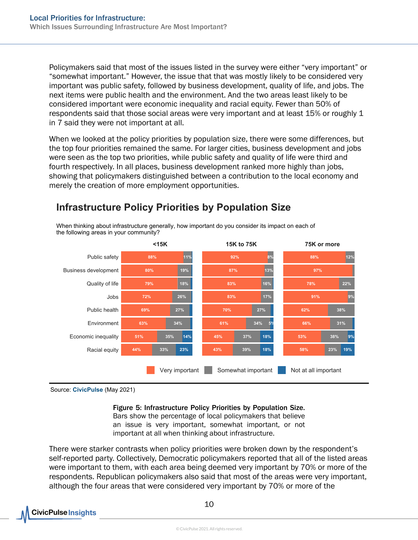Policymakers said that most of the issues listed in the survey were either "very important" or "somewhat important." However, the issue that that was mostly likely to be considered very important was public safety, followed by business development, quality of life, and jobs. The next items were public health and the environment. And the two areas least likely to be considered important were economic inequality and racial equity. Fewer than 50% of respondents said that those social areas were very important and at least 15% or roughly 1 in 7 said they were not important at all.

When we looked at the policy priorities by population size, there were some differences, but the top four priorities remained the same. For larger cities, business development and jobs were seen as the top two priorities, while public safety and quality of life were third and fourth respectively. In all places, business development ranked more highly than jobs, showing that policymakers distinguished between a contribution to the local economy and merely the creation of more employment opportunities.



### Infrastructure Policy Priorities by Population Size

When thinking about infrastructure generally, how important do you consider its impact on each of

Source: CivicPulse (May 2021)

#### Figure 5: Infrastructure Policy Priorities by Population Size.

Bars show the percentage of local policymakers that believe an issue is very important, somewhat important, or not important at all when thinking about infrastructure.

There were starker contrasts when policy priorities were broken down by the respondent's self-reported party. Collectively, Democratic policymakers reported that all of the listed areas were important to them, with each area being deemed very important by 70% or more of the respondents. Republican policymakers also said that most of the areas were very important, although the four areas that were considered very important by 70% or more of the

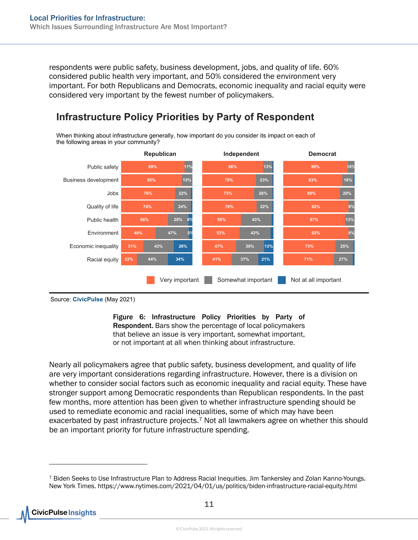respondents were public safety, business development, jobs, and quality of life. 60% considered public health very important, and 50% considered the environment very important. For both Republicans and Democrats, economic inequality and racial equity were considered very important by the fewest number of policymakers.

#### 85% 15% 66% <mark>28% 6</mark>% 76% 22%  $44\%$   $34\%$ 89% <mark>11%</mark> 49% 47% 5% 74% 24% 31% 43% 26% 75% 23% 55% 43% 73% 26% 41% 21%37% 86% 13% <mark>13%</mark> 53% 43% 76% 22% 47% 39% 13% 83% 16% 87% 13% 80% 20% 71% 27% 90% 10% 92% 8% 92% 8% 73% 25% Republican Independent Democrat Racial equity Economic inequality Environment Public health Quality of life Jobs Business development Public safety Very important Somewhat important Not at all important

## Infrastructure Policy Priorities by Party of Respondent

When thinking about infrastructure generally, how important do you consider its impact on each of the following areas in your community?

Figure 6: Infrastructure Policy Priorities by Party of Respondent. Bars show the percentage of local policymakers that believe an issue is very important, somewhat important, or not important at all when thinking about infrastructure.

Nearly all policymakers agree that public safety, business development, and quality of life are very important considerations regarding infrastructure. However, there is a division on whether to consider social factors such as economic inequality and racial equity. These have stronger support among Democratic respondents than Republican respondents. In the past few months, more attention has been given to whether infrastructure spending should be used to remediate economic and racial inequalities, some of which may have been exacerbated by past infrastructure projects. $7$  Not all lawmakers agree on whether this should be an important priority for future infrastructure spending.

Source: CivicPulse (May 2021)

<sup>7</sup> Biden Seeks to Use Infrastructure Plan to Address Racial Inequities. Jim Tankersley and Zolan Kanno-Youngs. New York Times. https://www.nytimes.com/2021/04/01/us/politics/biden-infrastructure-racial-equity.html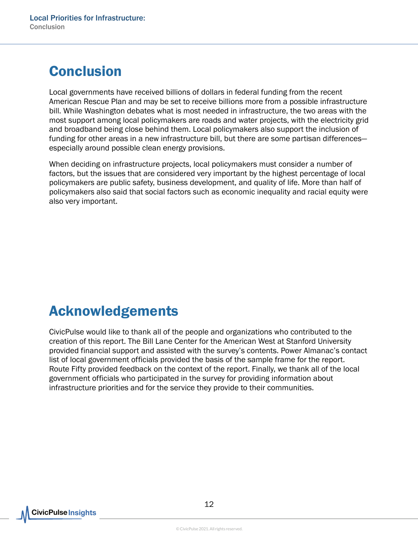# <span id="page-11-0"></span>**Conclusion**

Local governments have received billions of dollars in federal funding from the recent American Rescue Plan and may be set to receive billions more from a possible infrastructure bill. While Washington debates what is most needed in infrastructure, the two areas with the most support among local policymakers are roads and water projects, with the electricity grid and broadband being close behind them. Local policymakers also support the inclusion of funding for other areas in a new infrastructure bill, but there are some partisan differences especially around possible clean energy provisions.

When deciding on infrastructure projects, local policymakers must consider a number of factors, but the issues that are considered very important by the highest percentage of local policymakers are public safety, business development, and quality of life. More than half of policymakers also said that social factors such as economic inequality and racial equity were also very important.

## <span id="page-11-1"></span>Acknowledgements

CivicPulse would like to thank all of the people and organizations who contributed to the creation of this report. The Bill Lane Center for the American West at Stanford University provided financial support and assisted with the survey's contents. Power Almanac's contact list of local government officials provided the basis of the sample frame for the report. Route Fifty provided feedback on the context of the report. Finally, we thank all of the local government officials who participated in the survey for providing information about infrastructure priorities and for the service they provide to their communities.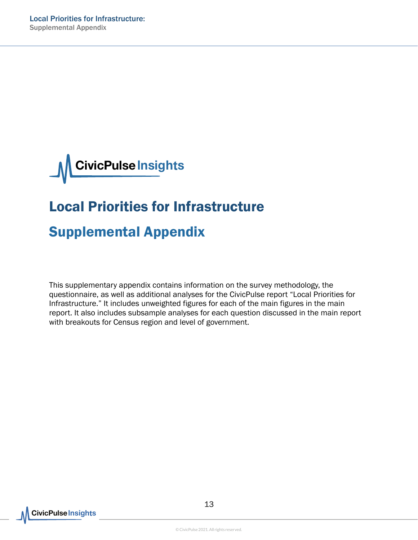

# Local Priorities for Infrastructure

## <span id="page-12-0"></span>Supplemental Appendix

This supplementary appendix contains information on the survey methodology, the questionnaire, as well as additional analyses for the CivicPulse report "Local Priorities for Infrastructure." It includes unweighted figures for each of the main figures in the main report. It also includes subsample analyses for each question discussed in the main report with breakouts for Census region and level of government.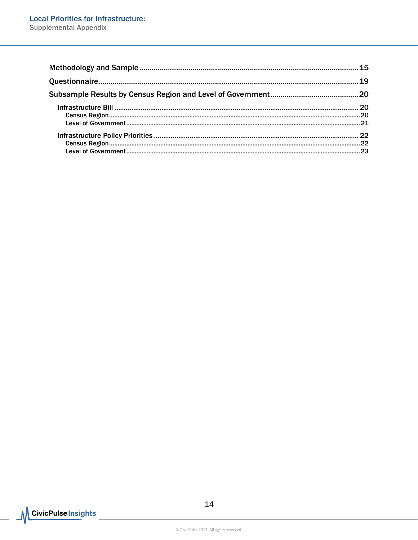| .23 |
|-----|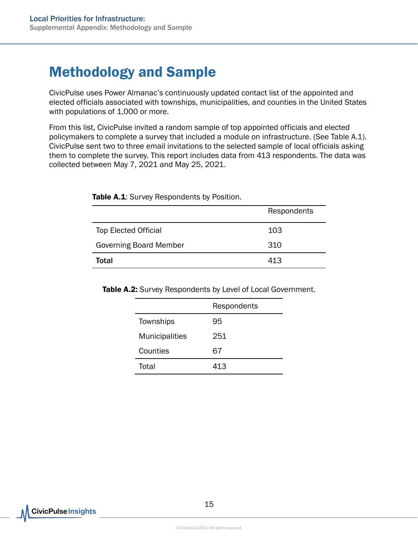## <span id="page-14-0"></span>Methodology and Sample

CivicPulse uses Power Almanac's continuously updated contact list of the appointed and elected officials associated with townships, municipalities, and counties in the United States with populations of 1,000 or more.

From this list, CivicPulse invited a random sample of top appointed officials and elected policymakers to complete a survey that included a module on infrastructure. (See Table A.1). CivicPulse sent two to three email invitations to the selected sample of local officials asking them to complete the survey. This report includes data from 413 respondents. The data was collected between May 7, 2021 and May 25, 2021.

|                               | Respondents |
|-------------------------------|-------------|
| <b>Top Elected Official</b>   | 103         |
| <b>Governing Board Member</b> | 310         |
| Total                         | 413         |

Table A.1: Survey Respondents by Position.

Table A.2: Survey Respondents by Level of Local Government.

|                       | Respondents |
|-----------------------|-------------|
| Townships             | 95          |
| <b>Municipalities</b> | 251         |
| Counties              | 67          |
| Total                 | 413         |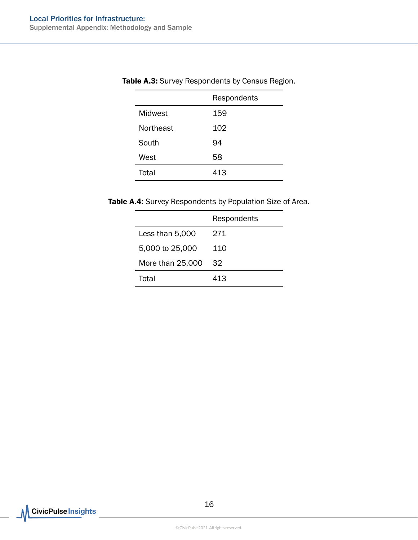|           | Respondents |
|-----------|-------------|
| Midwest   | 159         |
| Northeast | 102         |
| South     | 94          |
| West      | 58          |
| Total     | 413         |

#### Table A.3: Survey Respondents by Census Region.

Table A.4: Survey Respondents by Population Size of Area.

|                  | Respondents |
|------------------|-------------|
| Less than 5,000  | 271.        |
| 5,000 to 25,000  | 110         |
| More than 25,000 | 32          |
| Total            | 413         |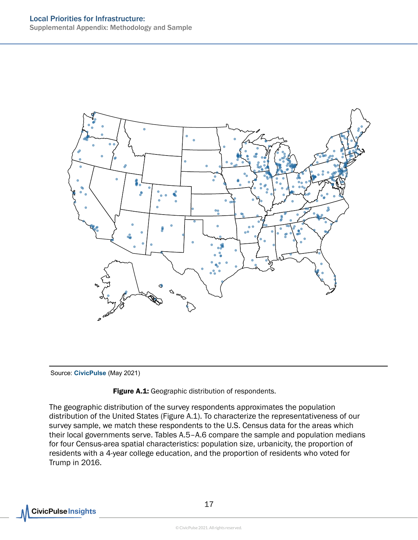

Source: CivicPulse (May 2021)

#### Figure A.1: Geographic distribution of respondents.

The geographic distribution of the survey respondents approximates the population distribution of the United States (Figure A.1). To characterize the representativeness of our survey sample, we match these respondents to the U.S. Census data for the areas which their local governments serve. Tables A.5–A.6 compare the sample and population medians for four Census-area spatial characteristics: population size, urbanicity, the proportion of residents with a 4-year college education, and the proportion of residents who voted for Trump in 2016.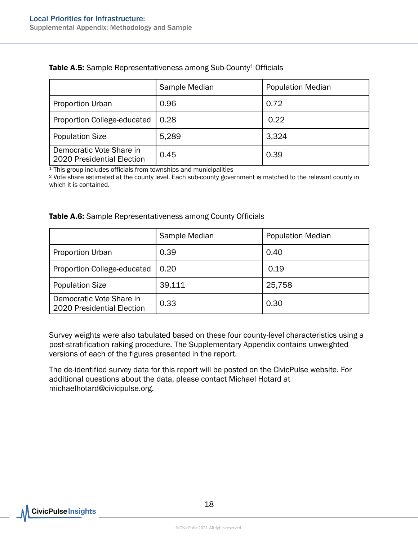|                                                        | Sample Median<br><b>Population Median</b> |       |
|--------------------------------------------------------|-------------------------------------------|-------|
| <b>Proportion Urban</b>                                | 0.96                                      | 0.72  |
| Proportion College-educated                            | 0.28                                      | 0.22  |
| <b>Population Size</b>                                 | 5,289                                     | 3.324 |
| Democratic Vote Share in<br>2020 Presidential Election | 0.45                                      | 0.39  |

#### Table A.5: Sample Representativeness among Sub-County<sup>1</sup> Officials

<sup>1</sup> This group includes officials from townships and municipalities

<sup>2</sup> Vote share estimated at the county level. Each sub-county government is matched to the relevant county in which it is contained.

#### Table A.6: Sample Representativeness among County Officials

|                                                        | Sample Median<br><b>Population Median</b> |        |
|--------------------------------------------------------|-------------------------------------------|--------|
| <b>Proportion Urban</b>                                | 0.39                                      | 0.40   |
| Proportion College-educated                            | 0.20                                      | 0.19   |
| <b>Population Size</b>                                 | 39,111                                    | 25,758 |
| Democratic Vote Share in<br>2020 Presidential Election | 0.33                                      | 0.30   |

Survey weights were also tabulated based on these four county-level characteristics using a post-stratification raking procedure. The Supplementary Appendix contains unweighted versions of each of the figures presented in the report.

The de-identified survey data for this report will be posted on the CivicPulse website. For additional questions about the data, please contact Michael Hotard at michaelhotard@civicpulse.org.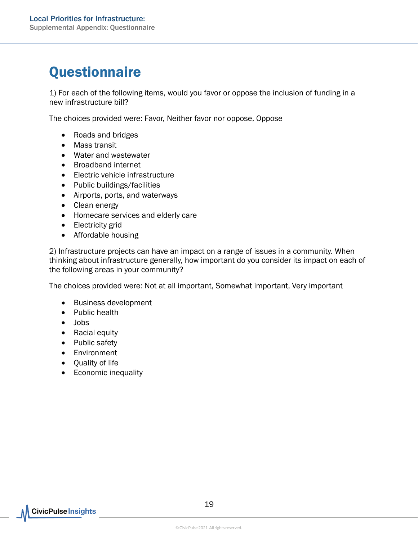# <span id="page-18-0"></span>**Questionnaire**

1) For each of the following items, would you favor or oppose the inclusion of funding in a new infrastructure bill?

The choices provided were: Favor, Neither favor nor oppose, Oppose

- Roads and bridges
- Mass transit
- Water and wastewater
- Broadband internet
- Electric vehicle infrastructure
- Public buildings/facilities
- Airports, ports, and waterways
- Clean energy
- Homecare services and elderly care
- Electricity grid
- Affordable housing

2) Infrastructure projects can have an impact on a range of issues in a community. When thinking about infrastructure generally, how important do you consider its impact on each of the following areas in your community?

The choices provided were: Not at all important, Somewhat important, Very important

- Business development
- Public health
- Jobs
- Racial equity
- Public safety
- Environment
- Quality of life
- Economic inequality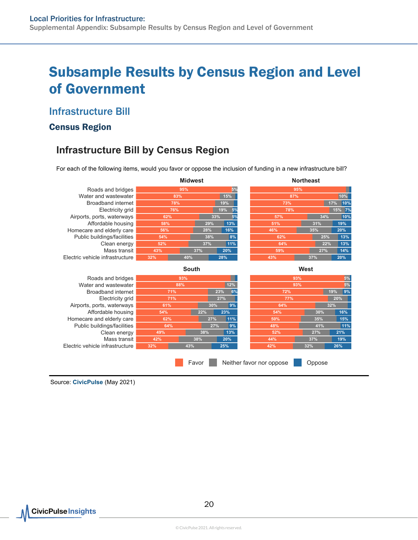## <span id="page-19-0"></span>Subsample Results by Census Region and Level of Government

#### <span id="page-19-1"></span>Infrastructure Bill

#### <span id="page-19-2"></span>Census Region

### Infrastructure Bill by Census Region

For each of the following items, would you favor or oppose the inclusion of funding in a new infrastructure bill?

|                                 | <b>Midwest</b> |       |           | <b>Northeast</b>         |        |            |
|---------------------------------|----------------|-------|-----------|--------------------------|--------|------------|
| Roads and bridges               | 95%            |       | 5%        | 95%                      |        |            |
| Water and wastewater            | 15%<br>83%     |       | 87%       |                          |        | 10%        |
| Broadband internet              | 78%            |       | 19%       | 73%                      |        | 17%<br>10% |
| Electricity grid                | 76%            |       | 19%<br>5% | 78%                      |        | 15% 7%     |
| Airports, ports, waterways      | 62%            |       | 5%<br>33% | 57%                      | 34%    | 10%        |
| Affordable housing              | 58%            | 29%   | 13%       | 51%                      | 31%    | 19%        |
| Homecare and elderly care       | 56%            | 28%   | 16%       | 46%                      | 35%    | 20%        |
| Public buildings/facilities     | 54%            | 38%   | 8%        | 62%                      | 25%    | 13%        |
| Clean energy                    | 52%            | 37%   | 11%       | 64%                      | 22%    | 13%        |
| Mass transit                    | 43%            | 37%   | 20%       | 59%                      | 27%    | 14%        |
| Electric vehicle infrastructure | 32%            | 40%   | 28%       | 43%                      | 37%    | 20%        |
| West<br><b>South</b>            |                |       |           |                          |        |            |
| Roads and bridges               | 93%            |       |           | 93%                      |        | 5%         |
| Water and wastewater            | 88%            |       | 12%       | 93%                      |        | 5%         |
| Broadband internet              | 71%            |       | 23%<br>6% | 72%                      |        | 9%<br>19%  |
| Electricity grid                | 71%            |       | 27%       | 77%                      |        | 20%        |
| Airports, ports, waterways      | 61%            | 30%   | 9%        | 64%                      |        | 32%        |
| Affordable housing              | 54%            | 22%   | 23%       | 54%                      | 30%    | 16%        |
| Homecare and elderly care       | 62%            | 27%   | 11%       | 50%                      | 35%    | 15%        |
| Public buildings/facilities     | 64%            | 27%   | 9%        | 48%                      | 41%    | 11%        |
| Clean energy                    | 49%            | 38%   | 13%       | 52%                      | 27%    | 21%        |
| Mass transit                    | 42%            | 38%   | 20%       | 44%                      | 37%    | 19%        |
| Electric vehicle infrastructure | 32%            | 43%   | 25%       | 42%                      | 32%    | 26%        |
|                                 |                | Favor |           | Neither favor nor oppose | Oppose |            |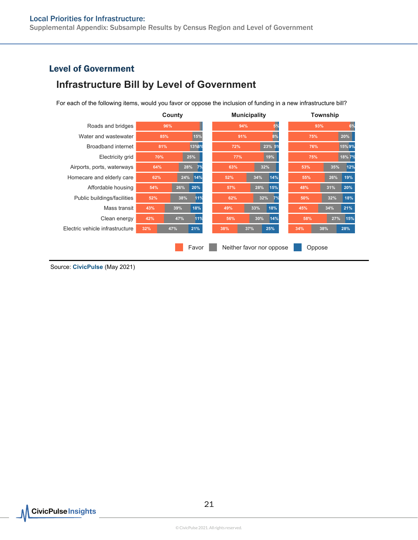Supplemental Appendix: Subsample Results by Census Region and Level of Government

#### <span id="page-20-0"></span>Level of Government

### Infrastructure Bill by Level of Government

For each of the following items, would you favor or oppose the inclusion of funding in a new infrastructure bill?

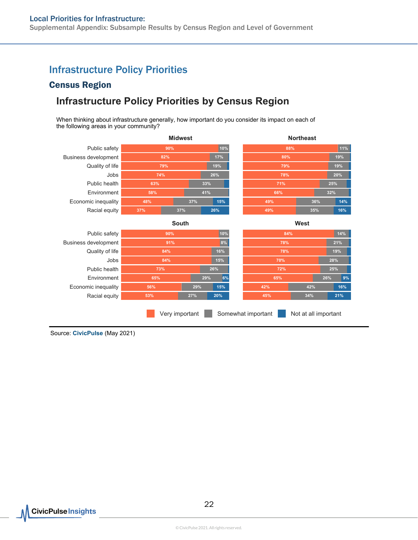### <span id="page-21-0"></span>Infrastructure Policy Priorities

#### <span id="page-21-1"></span>Census Region

### Infrastructure Policy Priorities by Census Region

When thinking about infrastructure generally, how important do you consider its impact on each of the following areas in your community?